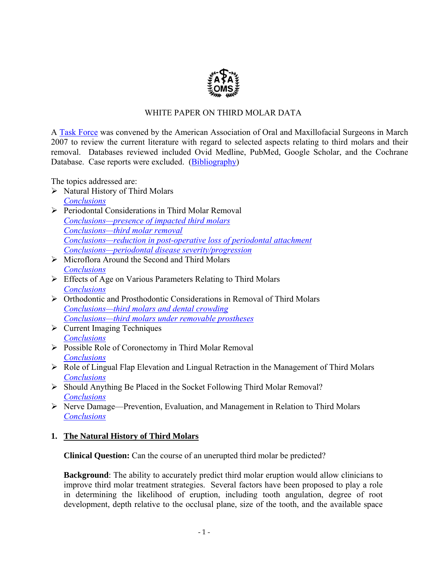

# WHITE PAPER ON THIRD MOLAR DATA

<span id="page-0-0"></span>A [Task Force](#page-17-0) was convened by the American Association of Oral and Maxillofacial Surgeons in March 2007 to review the current literature with regard to selected aspects relating to third molars and their removal. Databases reviewed included Ovid Medline, PubMed, Google Scholar, and the Cochrane Database. Case reports were excluded. [\(Bibliography\)](#page-17-0) 

The topics addressed are:

- $\triangleright$  Natural History of Third Molars *[Conclusions](#page-1-0)*
- ¾ Periodontal Considerations in Third Molar Removal *[Conclusions—presence of impacted third molars](#page-2-0) [Conclusions—third molar removal](#page-2-0) [Conclusions—reduction in post-operative loss of periodontal attachment](#page-3-0) [Conclusions—periodontal disease severity/progression](#page-5-0)*
- $\triangleright$  Microflora Around the Second and Third Molars *[Conclusions](#page-6-0)*
- $\triangleright$  Effects of Age on Various Parameters Relating to Third Molars *[Conclusions](#page-8-0)*
- $\triangleright$  Orthodontic and Prosthodontic Considerations in Removal of Third Molars *[Conclusions—third molars and dental crowding](#page-9-0) [Conclusions—third molars under removable prostheses](#page-10-0)*
- $\triangleright$  Current Imaging Techniques *[Conclusions](#page-11-0)*
- ¾ Possible Role of Coronectomy in Third Molar Removal *[Conclusions](#page-12-0)*
- ¾ Role of Lingual Flap Elevation and Lingual Retraction in the Management of Third Molars *[Conclusions](#page-13-0)*
- ¾ Should Anything Be Placed in the Socket Following Third Molar Removal? *[Conclusions](#page-14-0)*
- ¾ Nerve Damage—Prevention, Evaluation, and Management in Relation to Third Molars *[Conclusions](#page-16-0)*

# **1. The Natural History of Third Molars**

**Clinical Question:** Can the course of an unerupted third molar be predicted?

**Background**: The ability to accurately predict third molar eruption would allow clinicians to improve third molar treatment strategies. Several factors have been proposed to play a role in determining the likelihood of eruption, including tooth angulation, degree of root development, depth relative to the occlusal plane, size of the tooth, and the available space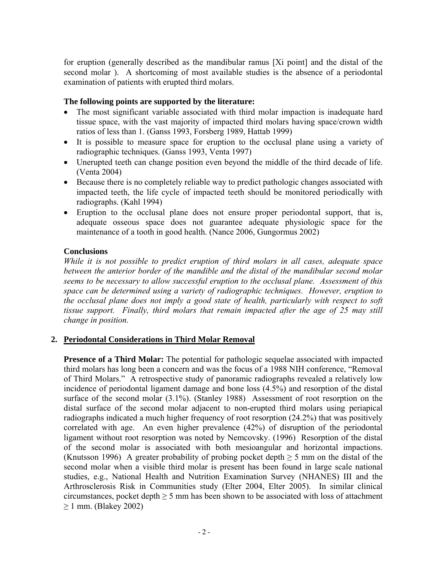<span id="page-1-0"></span>for eruption (generally described as the mandibular ramus [Xi point] and the distal of the second molar ). A shortcoming of most available studies is the absence of a periodontal examination of patients with erupted third molars.

# **The following points are supported by the literature:**

- The most significant variable associated with third molar impaction is inadequate hard tissue space, with the vast majority of impacted third molars having space/crown width ratios of less than 1. (Ganss 1993, Forsberg 1989, Hattab 1999)
- It is possible to measure space for eruption to the occlusal plane using a variety of radiographic techniques. (Ganss 1993, Venta 1997)
- Unerupted teeth can change position even beyond the middle of the third decade of life. (Venta 2004)
- Because there is no completely reliable way to predict pathologic changes associated with impacted teeth, the life cycle of impacted teeth should be monitored periodically with radiographs. (Kahl 1994)
- Eruption to the occlusal plane does not ensure proper periodontal support, that is, adequate osseous space does not guarantee adequate physiologic space for the maintenance of a tooth in good health. (Nance 2006, Gungormus 2002)

#### **Conclusions**

*While it is not possible to predict eruption of third molars in all cases, adequate space between the anterior border of the mandible and the distal of the mandibular second molar seems to be necessary to allow successful eruption to the occlusal plane. Assessment of this space can be determined using a variety of radiographic techniques. However, eruption to the occlusal plane does not imply a good state of health, particularly with respect to soft tissue support. Finally, third molars that remain impacted after the age of 25 may still change in position.*

# **2. Periodontal Considerations in Third Molar Removal**

**Presence of a Third Molar:** The potential for pathologic sequelae associated with impacted third molars has long been a concern and was the focus of a 1988 NIH conference, "Removal of Third Molars." A retrospective study of panoramic radiographs revealed a relatively low incidence of periodontal ligament damage and bone loss (4.5%) and resorption of the distal surface of the second molar  $(3.1\%)$ . (Stanley 1988) Assessment of root resorption on the distal surface of the second molar adjacent to non-erupted third molars using periapical radiographs indicated a much higher frequency of root resorption (24.2%) that was positively correlated with age. An even higher prevalence (42%) of disruption of the periodontal ligament without root resorption was noted by Nemcovsky. (1996) Resorption of the distal of the second molar is associated with both mesioangular and horizontal impactions. (Knutsson 1996) A greater probability of probing pocket depth  $\geq$  5 mm on the distal of the second molar when a visible third molar is present has been found in large scale national studies, e.g., National Health and Nutrition Examination Survey (NHANES) III and the Arthrosclerosis Risk in Communities study (Elter 2004, Elter 2005). In similar clinical circumstances, pocket depth ≥ 5 mm has been shown to be associated with loss of attachment  $\geq$  1 mm. (Blakey 2002)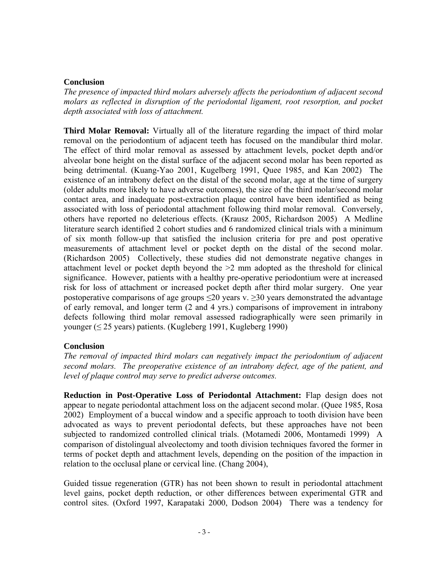#### <span id="page-2-0"></span>**Conclusion**

*The presence of impacted third molars adversely affects the periodontium of adjacent second molars as reflected in disruption of the periodontal ligament, root resorption, and pocket depth associated with loss of attachment.* 

**Third Molar Removal:** Virtually all of the literature regarding the impact of third molar removal on the periodontium of adjacent teeth has focused on the mandibular third molar. The effect of third molar removal as assessed by attachment levels, pocket depth and/or alveolar bone height on the distal surface of the adjacent second molar has been reported as being detrimental. (Kuang-Yao 2001, Kugelberg 1991, Quee 1985, and Kan 2002) The existence of an intrabony defect on the distal of the second molar, age at the time of surgery (older adults more likely to have adverse outcomes), the size of the third molar/second molar contact area, and inadequate post-extraction plaque control have been identified as being associated with loss of periodontal attachment following third molar removal. Conversely, others have reported no deleterious effects. (Krausz 2005, Richardson 2005) A Medline literature search identified 2 cohort studies and 6 randomized clinical trials with a minimum of six month follow-up that satisfied the inclusion criteria for pre and post operative measurements of attachment level or pocket depth on the distal of the second molar. (Richardson 2005) Collectively, these studies did not demonstrate negative changes in attachment level or pocket depth beyond the >2 mm adopted as the threshold for clinical significance. However, patients with a healthy pre-operative periodontium were at increased risk for loss of attachment or increased pocket depth after third molar surgery. One year postoperative comparisons of age groups  $\leq 20$  years v.  $\geq 30$  years demonstrated the advantage of early removal, and longer term (2 and 4 yrs.) comparisons of improvement in intrabony defects following third molar removal assessed radiographically were seen primarily in younger ( $\leq$  25 years) patients. (Kugleberg 1991, Kugleberg 1990)

# **Conclusion**

*The removal of impacted third molars can negatively impact the periodontium of adjacent second molars. The preoperative existence of an intrabony defect, age of the patient, and level of plaque control may serve to predict adverse outcomes.* 

**Reduction in Post-Operative Loss of Periodontal Attachment:** Flap design does not appear to negate periodontal attachment loss on the adjacent second molar. (Quee 1985, Rosa 2002) Employment of a buccal window and a specific approach to tooth division have been advocated as ways to prevent periodontal defects, but these approaches have not been subjected to randomized controlled clinical trials. (Motamedi 2006, Montamedi 1999) A comparison of distolingual alveolectomy and tooth division techniques favored the former in terms of pocket depth and attachment levels, depending on the position of the impaction in relation to the occlusal plane or cervical line. (Chang 2004),

Guided tissue regeneration (GTR) has not been shown to result in periodontal attachment level gains, pocket depth reduction, or other differences between experimental GTR and control sites. (Oxford 1997, Karapataki 2000, Dodson 2004) There was a tendency for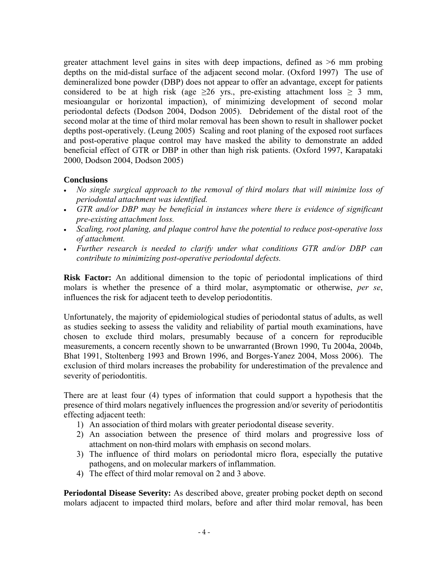<span id="page-3-0"></span>greater attachment level gains in sites with deep impactions, defined as >6 mm probing depths on the mid-distal surface of the adjacent second molar. (Oxford 1997) The use of demineralized bone powder (DBP) does not appear to offer an advantage, except for patients considered to be at high risk (age  $\geq 26$  yrs., pre-existing attachment loss  $\geq 3$  mm, mesioangular or horizontal impaction), of minimizing development of second molar periodontal defects (Dodson 2004, Dodson 2005). Debridement of the distal root of the second molar at the time of third molar removal has been shown to result in shallower pocket depths post-operatively. (Leung 2005) Scaling and root planing of the exposed root surfaces and post-operative plaque control may have masked the ability to demonstrate an added beneficial effect of GTR or DBP in other than high risk patients. (Oxford 1997, Karapataki 2000, Dodson 2004, Dodson 2005)

# **Conclusions**

- *No single surgical approach to the removal of third molars that will minimize loss of periodontal attachment was identified.*
- *GTR and/or DBP may be beneficial in instances where there is evidence of significant pre-existing attachment loss.*
- *Scaling, root planing, and plaque control have the potential to reduce post-operative loss of attachment.*
- *Further research is needed to clarify under what conditions GTR and/or DBP can contribute to minimizing post-operative periodontal defects.*

**Risk Factor:** An additional dimension to the topic of periodontal implications of third molars is whether the presence of a third molar, asymptomatic or otherwise, *per se*, influences the risk for adjacent teeth to develop periodontitis.

Unfortunately, the majority of epidemiological studies of periodontal status of adults, as well as studies seeking to assess the validity and reliability of partial mouth examinations, have chosen to exclude third molars, presumably because of a concern for reproducible measurements, a concern recently shown to be unwarranted (Brown 1990, Tu 2004a, 2004b, Bhat 1991, Stoltenberg 1993 and Brown 1996, and Borges-Yanez 2004, Moss 2006). The exclusion of third molars increases the probability for underestimation of the prevalence and severity of periodontitis.

There are at least four (4) types of information that could support a hypothesis that the presence of third molars negatively influences the progression and/or severity of periodontitis effecting adjacent teeth:

- 1) An association of third molars with greater periodontal disease severity.
- 2) An association between the presence of third molars and progressive loss of attachment on non-third molars with emphasis on second molars.
- 3) The influence of third molars on periodontal micro flora, especially the putative pathogens, and on molecular markers of inflammation.
- 4) The effect of third molar removal on 2 and 3 above.

**Periodontal Disease Severity:** As described above, greater probing pocket depth on second molars adjacent to impacted third molars, before and after third molar removal, has been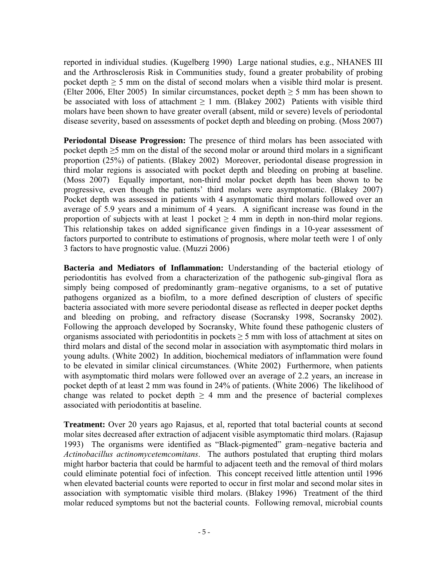reported in individual studies. (Kugelberg 1990) Large national studies, e.g., NHANES III and the Arthrosclerosis Risk in Communities study, found a greater probability of probing pocket depth  $\geq$  5 mm on the distal of second molars when a visible third molar is present. (Elter 2006, Elter 2005) In similar circumstances, pocket depth  $\geq$  5 mm has been shown to be associated with loss of attachment  $\geq 1$  mm. (Blakey 2002) Patients with visible third molars have been shown to have greater overall (absent, mild or severe) levels of periodontal disease severity, based on assessments of pocket depth and bleeding on probing. (Moss 2007)

**Periodontal Disease Progression:** The presence of third molars has been associated with pocket depth  $\geq$ 5 mm on the distal of the second molar or around third molars in a significant proportion (25%) of patients. (Blakey 2002) Moreover, periodontal disease progression in third molar regions is associated with pocket depth and bleeding on probing at baseline. (Moss 2007) Equally important, non-third molar pocket depth has been shown to be progressive, even though the patients' third molars were asymptomatic. (Blakey 2007) Pocket depth was assessed in patients with 4 asymptomatic third molars followed over an average of 5.9 years and a minimum of 4 years. A significant increase was found in the proportion of subjects with at least 1 pocket  $\geq$  4 mm in depth in non-third molar regions. This relationship takes on added significance given findings in a 10-year assessment of factors purported to contribute to estimations of prognosis, where molar teeth were 1 of only 3 factors to have prognostic value. (Muzzi 2006)

**Bacteria and Mediators of Inflammation:** Understanding of the bacterial etiology of periodontitis has evolved from a characterization of the pathogenic sub-gingival flora as simply being composed of predominantly gram–negative organisms, to a set of putative pathogens organized as a biofilm, to a more defined description of clusters of specific bacteria associated with more severe periodontal disease as reflected in deeper pocket depths and bleeding on probing, and refractory disease (Socransky 1998, Socransky 2002). Following the approach developed by Socransky, White found these pathogenic clusters of organisms associated with periodontitis in pockets ≥ 5 mm with loss of attachment at sites on third molars and distal of the second molar in association with asymptomatic third molars in young adults. (White 2002) In addition, biochemical mediators of inflammation were found to be elevated in similar clinical circumstances. (White 2002) Furthermore, when patients with asymptomatic third molars were followed over an average of 2.2 years, an increase in pocket depth of at least 2 mm was found in 24% of patients. (White 2006) The likelihood of change was related to pocket depth  $\geq$  4 mm and the presence of bacterial complexes associated with periodontitis at baseline.

**Treatment:** Over 20 years ago Rajasus, et al, reported that total bacterial counts at second molar sites decreased after extraction of adjacent visible asymptomatic third molars. (Rajasup 1993) The organisms were identified as "Black-pigmented" gram–negative bacteria and *Actinobacillus actinomycetemcomitans*. The authors postulated that erupting third molars might harbor bacteria that could be harmful to adjacent teeth and the removal of third molars could eliminate potential foci of infection. This concept received little attention until 1996 when elevated bacterial counts were reported to occur in first molar and second molar sites in association with symptomatic visible third molars. (Blakey 1996) Treatment of the third molar reduced symptoms but not the bacterial counts. Following removal, microbial counts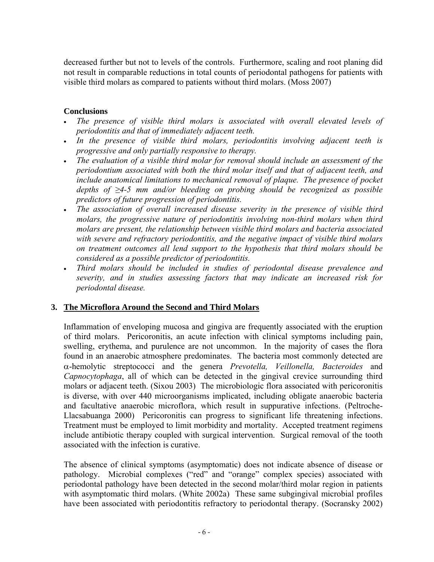<span id="page-5-0"></span>decreased further but not to levels of the controls. Furthermore, scaling and root planing did not result in comparable reductions in total counts of periodontal pathogens for patients with visible third molars as compared to patients without third molars. (Moss 2007)

#### **Conclusions**

- *The presence of visible third molars is associated with overall elevated levels of periodontitis and that of immediately adjacent teeth.*
- *In the presence of visible third molars, periodontitis involving adjacent teeth is progressive and only partially responsive to therapy.*
- *The evaluation of a visible third molar for removal should include an assessment of the periodontium associated with both the third molar itself and that of adjacent teeth, and include anatomical limitations to mechanical removal of plaque. The presence of pocket depths of ≥4-5 mm and/or bleeding on probing should be recognized as possible predictors of future progression of periodontitis.*
- The association of overall increased disease severity in the presence of visible third *molars, the progressive nature of periodontitis involving non-third molars when third molars are present, the relationship between visible third molars and bacteria associated with severe and refractory periodontitis, and the negative impact of visible third molars on treatment outcomes all lend support to the hypothesis that third molars should be considered as a possible predictor of periodontitis.*
- *Third molars should be included in studies of periodontal disease prevalence and severity, and in studies assessing factors that may indicate an increased risk for periodontal disease.*

#### **3. The Microflora Around the Second and Third Molars**

Inflammation of enveloping mucosa and gingiva are frequently associated with the eruption of third molars. Pericoronitis, an acute infection with clinical symptoms including pain, swelling, erythema, and purulence are not uncommon. In the majority of cases the flora found in an anaerobic atmosphere predominates. The bacteria most commonly detected are α-hemolytic streptococci and the genera *Prevotella, Veillonella, Bacteroides* and *Capnocytophaga*, all of which can be detected in the gingival crevice surrounding third molars or adjacent teeth. (Sixou 2003) The microbiologic flora associated with pericoronitis is diverse, with over 440 microorganisms implicated, including obligate anaerobic bacteria and facultative anaerobic microflora, which result in suppurative infections. (Peltroche-Llacsabuanga 2000) Pericoronitis can progress to significant life threatening infections. Treatment must be employed to limit morbidity and mortality. Accepted treatment regimens include antibiotic therapy coupled with surgical intervention. Surgical removal of the tooth associated with the infection is curative.

The absence of clinical symptoms (asymptomatic) does not indicate absence of disease or pathology. Microbial complexes ("red" and "orange" complex species) associated with periodontal pathology have been detected in the second molar/third molar region in patients with asymptomatic third molars. (White 2002a) These same subgingival microbial profiles have been associated with periodontitis refractory to periodontal therapy. (Socransky 2002)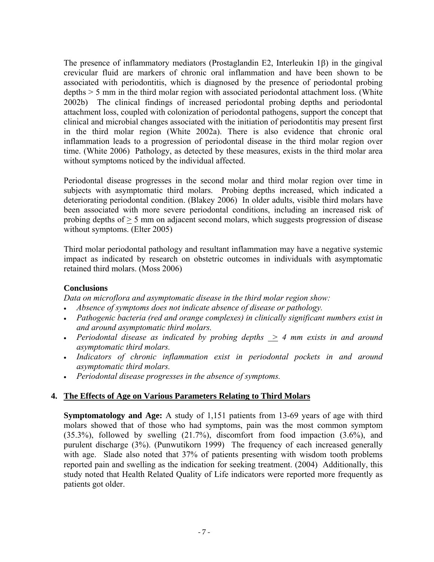<span id="page-6-0"></span>The presence of inflammatory mediators (Prostaglandin E2, Interleukin 1β) in the gingival crevicular fluid are markers of chronic oral inflammation and have been shown to be associated with periodontitis, which is diagnosed by the presence of periodontal probing depths > 5 mm in the third molar region with associated periodontal attachment loss. (White 2002b) The clinical findings of increased periodontal probing depths and periodontal attachment loss, coupled with colonization of periodontal pathogens, support the concept that clinical and microbial changes associated with the initiation of periodontitis may present first in the third molar region (White 2002a). There is also evidence that chronic oral inflammation leads to a progression of periodontal disease in the third molar region over time. (White 2006) Pathology, as detected by these measures, exists in the third molar area without symptoms noticed by the individual affected.

Periodontal disease progresses in the second molar and third molar region over time in subjects with asymptomatic third molars. Probing depths increased, which indicated a deteriorating periodontal condition. (Blakey 2006) In older adults, visible third molars have been associated with more severe periodontal conditions, including an increased risk of probing depths of > 5 mm on adjacent second molars, which suggests progression of disease without symptoms. (Elter 2005)

Third molar periodontal pathology and resultant inflammation may have a negative systemic impact as indicated by research on obstetric outcomes in individuals with asymptomatic retained third molars. (Moss 2006)

# **Conclusions**

*Data on microflora and asymptomatic disease in the third molar region show:*

- *Absence of symptoms does not indicate absence of disease or pathology.*
- *Pathogenic bacteria (red and orange complexes) in clinically significant numbers exist in and around asymptomatic third molars.*
- *Periodontal disease as indicated by probing depths*  $\geq$  4 mm exists in and around *asymptomatic third molars.*
- *Indicators of chronic inflammation exist in periodontal pockets in and around asymptomatic third molars.*
- *Periodontal disease progresses in the absence of symptoms.*

# **4. The Effects of Age on Various Parameters Relating to Third Molars**

**Symptomatology and Age:** A study of 1,151 patients from 13-69 years of age with third molars showed that of those who had symptoms, pain was the most common symptom (35.3%), followed by swelling (21.7%), discomfort from food impaction (3.6%), and purulent discharge (3%). (Punwutikorn 1999) The frequency of each increased generally with age. Slade also noted that 37% of patients presenting with wisdom tooth problems reported pain and swelling as the indication for seeking treatment. (2004) Additionally, this study noted that Health Related Quality of Life indicators were reported more frequently as patients got older.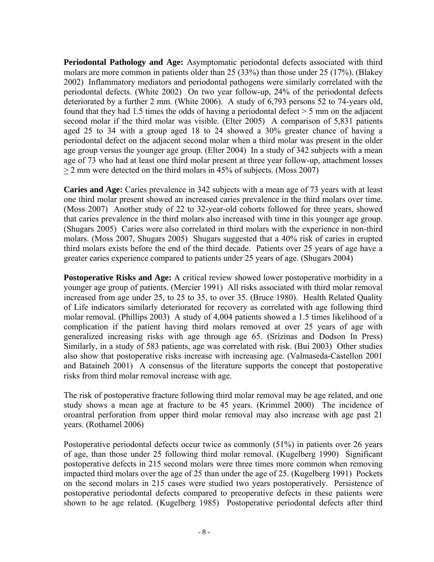**Periodontal Pathology and Age:** Asymptomatic periodontal defects associated with third molars are more common in patients older than 25 (33%) than those under 25 (17%). (Blakey 2002) Inflammatory mediators and periodontal pathogens were similarly correlated with the periodontal defects. (White 2002) On two year follow-up, 24% of the periodontal defects deteriorated by a further 2 mm. (White 2006). A study of 6,793 persons 52 to 74-years old, found that they had 1.5 times the odds of having a periodontal defect > 5 mm on the adjacent second molar if the third molar was visible. (Elter 2005) A comparison of 5,831 patients aged 25 to 34 with a group aged 18 to 24 showed a 30% greater chance of having a periodontal defect on the adjacent second molar when a third molar was present in the older age group versus the younger age group. (Elter 2004) In a study of 342 subjects with a mean age of 73 who had at least one third molar present at three year follow-up, attachment losses > 2 mm were detected on the third molars in 45% of subjects. (Moss 2007)

**Caries and Age:** Caries prevalence in 342 subjects with a mean age of 73 years with at least one third molar present showed an increased caries prevalence in the third molars over time. (Moss 2007) Another study of 22 to 32-year-old cohorts followed for three years, showed that caries prevalence in the third molars also increased with time in this younger age group. (Shugars 2005) Caries were also correlated in third molars with the experience in non-third molars. (Moss 2007, Shugars 2005) Shugars suggested that a 40% risk of caries in erupted third molars exists before the end of the third decade. Patients over 25 years of age have a greater caries experience compared to patients under 25 years of age. (Shugars 2004)

**Postoperative Risks and Age:** A critical review showed lower postoperative morbidity in a younger age group of patients. (Mercier 1991) All risks associated with third molar removal increased from age under 25, to 25 to 35, to over 35. (Bruce 1980). Health Related Quality of Life indicators similarly deteriorated for recovery as correlated with age following third molar removal. (Phillips 2003) A study of 4,004 patients showed a 1.5 times likelihood of a complication if the patient having third molars removed at over 25 years of age with generalized increasing risks with age through age 65. (Srizinas and Dodson In Press) Similarly, in a study of 583 patients, age was correlated with risk. (Bui 2003) Other studies also show that postoperative risks increase with increasing age. (Valmaseda-Castellon 2001) and Bataineh 2001) A consensus of the literature supports the concept that postoperative risks from third molar removal increase with age.

The risk of postoperative fracture following third molar removal may be age related, and one study shows a mean age at fracture to be 45 years. (Krimmel 2000) The incidence of oroantral perforation from upper third molar removal may also increase with age past 21 years. (Rothamel 2006)

Postoperative periodontal defects occur twice as commonly (51%) in patients over 26 years of age, than those under 25 following third molar removal. (Kugelberg 1990) Significant postoperative defects in 215 second molars were three times more common when removing impacted third molars over the age of 25 than under the age of 25. (Kugelberg 1991) Pockets on the second molars in 215 cases were studied two years postoperatively. Persistence of postoperative periodontal defects compared to preoperative defects in these patients were shown to be age related. (Kugelberg 1985) Postoperative periodontal defects after third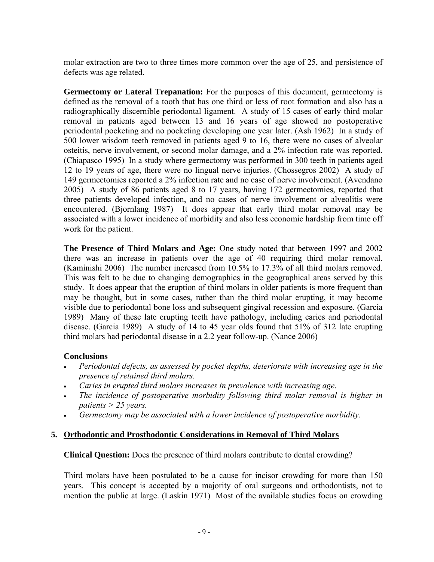<span id="page-8-0"></span>molar extraction are two to three times more common over the age of 25, and persistence of defects was age related.

**Germectomy or Lateral Trepanation:** For the purposes of this document, germectomy is defined as the removal of a tooth that has one third or less of root formation and also has a radiographically discernible periodontal ligament. A study of 15 cases of early third molar removal in patients aged between 13 and 16 years of age showed no postoperative periodontal pocketing and no pocketing developing one year later. (Ash 1962) In a study of 500 lower wisdom teeth removed in patients aged 9 to 16, there were no cases of alveolar osteitis, nerve involvement, or second molar damage, and a 2% infection rate was reported. (Chiapasco 1995) In a study where germectomy was performed in 300 teeth in patients aged 12 to 19 years of age, there were no lingual nerve injuries. (Chossegros 2002) A study of 149 germectomies reported a 2% infection rate and no case of nerve involvement. (Avendano 2005) A study of 86 patients aged 8 to 17 years, having 172 germectomies, reported that three patients developed infection, and no cases of nerve involvement or alveolitis were encountered. (Bjornlang 1987) It does appear that early third molar removal may be associated with a lower incidence of morbidity and also less economic hardship from time off work for the patient.

**The Presence of Third Molars and Age:** One study noted that between 1997 and 2002 there was an increase in patients over the age of 40 requiring third molar removal. (Kaminishi 2006) The number increased from 10.5% to 17.3% of all third molars removed. This was felt to be due to changing demographics in the geographical areas served by this study. It does appear that the eruption of third molars in older patients is more frequent than may be thought, but in some cases, rather than the third molar erupting, it may become visible due to periodontal bone loss and subsequent gingival recession and exposure. (Garcia 1989) Many of these late erupting teeth have pathology, including caries and periodontal disease. (Garcia 1989) A study of 14 to 45 year olds found that 51% of 312 late erupting third molars had periodontal disease in a 2.2 year follow-up. (Nance 2006)

# **Conclusions**

- *Periodontal defects, as assessed by pocket depths, deteriorate with increasing age in the presence of retained third molars.*
- *Caries in erupted third molars increases in prevalence with increasing age.*
- *The incidence of postoperative morbidity following third molar removal is higher in patients > 25 years.*
- *Germectomy may be associated with a lower incidence of postoperative morbidity.*

# **5. Orthodontic and Prosthodontic Considerations in Removal of Third Molars**

**Clinical Question:** Does the presence of third molars contribute to dental crowding?

Third molars have been postulated to be a cause for incisor crowding for more than 150 years. This concept is accepted by a majority of oral surgeons and orthodontists, not to mention the public at large. (Laskin 1971) Most of the available studies focus on crowding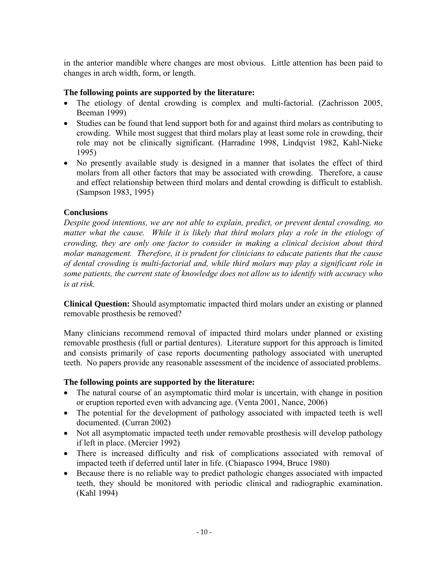<span id="page-9-0"></span>in the anterior mandible where changes are most obvious. Little attention has been paid to changes in arch width, form, or length.

#### **The following points are supported by the literature:**

- The etiology of dental crowding is complex and multi-factorial. (Zachrisson 2005, [Beeman](http://www.ncbi.nlm.nih.gov/entrez/query.fcgi?db=pubmed&cmd=Retrieve&dopt=AbstractPlus&list_uids=15952555&query_hl=5&itool=pubmed_docsum) 1999)
- Studies can be found that lend support both for and against third molars as contributing to crowding. While most suggest that third molars play at least some role in crowding, their role may not be clinically significant. (Harradine 1998, Lindqvist 1982, Kahl-Nieke 1995)
- No presently available study is designed in a manner that isolates the effect of third molars from all other factors that may be associated with crowding. Therefore, a cause and effect relationship between third molars and dental crowding is difficult to establish. (Sampson 1983, 1995)

# **Conclusions**

*Despite good intentions, we are not able to explain, predict, or prevent dental crowding, no*  matter what the cause. While it is likely that third molars play a role in the etiology of *crowding, they are only one factor to consider in making a clinical decision about third molar management. Therefore, it is prudent for clinicians to educate patients that the cause of dental crowding is multi-factorial and, while third molars may play a significant role in some patients, the current state of knowledge does not allow us to identify with accuracy who is at risk.* 

**Clinical Question:** Should asymptomatic impacted third molars under an existing or planned removable prosthesis be removed?

Many clinicians recommend removal of impacted third molars under planned or existing removable prosthesis (full or partial dentures). Literature support for this approach is limited and consists primarily of case reports documenting pathology associated with unerupted teeth. No papers provide any reasonable assessment of the incidence of associated problems.

#### **The following points are supported by the literature:**

- The natural course of an asymptomatic third molar is uncertain, with change in position or eruption reported even with advancing age. (Venta 2001, Nance, 2006)
- The potential for the development of pathology associated with impacted teeth is well documented. ([Curran](http://www.ncbi.nlm.nih.gov/entrez/query.fcgi?db=pubmed&cmd=Search&itool=pubmed_AbstractPlus&term=%22Curran+AE%22%5BAuthor%5D) 2002)
- Not all asymptomatic impacted teeth under removable prosthesis will develop pathology if left in place. (Mercier 1992)
- There is increased difficulty and risk of complications associated with removal of impacted teeth if deferred until later in life. (Chiapasco 1994, Bruce 1980)
- Because there is no reliable way to predict pathologic changes associated with impacted teeth, they should be monitored with periodic clinical and radiographic examination. (Kahl 1994)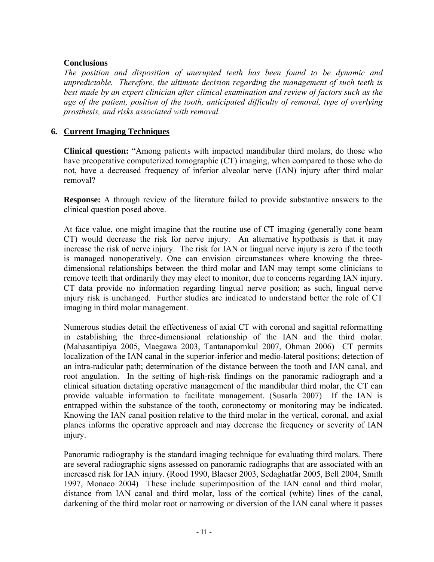# <span id="page-10-0"></span>**Conclusions**

*The position and disposition of unerupted teeth has been found to be dynamic and unpredictable. Therefore, the ultimate decision regarding the management of such teeth is best made by an expert clinician after clinical examination and review of factors such as the age of the patient, position of the tooth, anticipated difficulty of removal, type of overlying prosthesis, and risks associated with removal.* 

# **6. Current Imaging Techniques**

**Clinical question:** "Among patients with impacted mandibular third molars, do those who have preoperative computerized tomographic (CT) imaging, when compared to those who do not, have a decreased frequency of inferior alveolar nerve (IAN) injury after third molar removal?

**Response:** A through review of the literature failed to provide substantive answers to the clinical question posed above.

At face value, one might imagine that the routine use of CT imaging (generally cone beam CT) would decrease the risk for nerve injury. An alternative hypothesis is that it may increase the risk of nerve injury. The risk for IAN or lingual nerve injury is zero if the tooth is managed nonoperatively. One can envision circumstances where knowing the threedimensional relationships between the third molar and IAN may tempt some clinicians to remove teeth that ordinarily they may elect to monitor, due to concerns regarding IAN injury. CT data provide no information regarding lingual nerve position; as such, lingual nerve injury risk is unchanged. Further studies are indicated to understand better the role of CT imaging in third molar management.

Numerous studies detail the effectiveness of axial CT with coronal and sagittal reformatting in establishing the three-dimensional relationship of the IAN and the third molar. (Mahasantipiya 2005, Maegawa 2003, Tantanapornkul 2007, Ohman 2006) CT permits localization of the IAN canal in the superior-inferior and medio-lateral positions; detection of an intra-radicular path; determination of the distance between the tooth and IAN canal, and root angulation. In the setting of high-risk findings on the panoramic radiograph and a clinical situation dictating operative management of the mandibular third molar, the CT can provide valuable information to facilitate management. (Susarla 2007) If the IAN is entrapped within the substance of the tooth, coronectomy or monitoring may be indicated. Knowing the IAN canal position relative to the third molar in the vertical, coronal, and axial planes informs the operative approach and may decrease the frequency or severity of IAN injury.

Panoramic radiography is the standard imaging technique for evaluating third molars. There are several radiographic signs assessed on panoramic radiographs that are associated with an increased risk for IAN injury. (Rood 1990, Blaeser 2003, Sedaghatfar 2005, Bell 2004, Smith 1997, Monaco 2004) These include superimposition of the IAN canal and third molar, distance from IAN canal and third molar, loss of the cortical (white) lines of the canal, darkening of the third molar root or narrowing or diversion of the IAN canal where it passes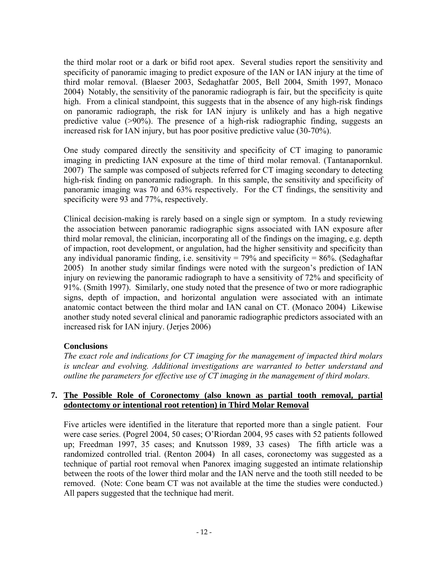<span id="page-11-0"></span>the third molar root or a dark or bifid root apex. Several studies report the sensitivity and specificity of panoramic imaging to predict exposure of the IAN or IAN injury at the time of third molar removal. (Blaeser 2003, Sedaghatfar 2005, Bell 2004, Smith 1997, Monaco 2004) Notably, the sensitivity of the panoramic radiograph is fair, but the specificity is quite high. From a clinical standpoint, this suggests that in the absence of any high-risk findings on panoramic radiograph, the risk for IAN injury is unlikely and has a high negative predictive value (>90%). The presence of a high-risk radiographic finding, suggests an increased risk for IAN injury, but has poor positive predictive value (30-70%).

One study compared directly the sensitivity and specificity of CT imaging to panoramic imaging in predicting IAN exposure at the time of third molar removal. (Tantanapornkul. 2007) The sample was composed of subjects referred for CT imaging secondary to detecting high-risk finding on panoramic radiograph. In this sample, the sensitivity and specificity of panoramic imaging was 70 and 63% respectively. For the CT findings, the sensitivity and specificity were 93 and 77%, respectively.

Clinical decision-making is rarely based on a single sign or symptom. In a study reviewing the association between panoramic radiographic signs associated with IAN exposure after third molar removal, the clinician, incorporating all of the findings on the imaging, e.g. depth of impaction, root development, or angulation, had the higher sensitivity and specificity than any individual panoramic finding, i.e. sensitivity =  $79\%$  and specificity =  $86\%$ . (Sedaghaftar 2005) In another study similar findings were noted with the surgeon's prediction of IAN injury on reviewing the panoramic radiograph to have a sensitivity of 72% and specificity of 91%. (Smith 1997). Similarly, one study noted that the presence of two or more radiographic signs, depth of impaction, and horizontal angulation were associated with an intimate anatomic contact between the third molar and IAN canal on CT. (Monaco 2004) Likewise another study noted several clinical and panoramic radiographic predictors associated with an increased risk for IAN injury. (Jerjes 2006)

# **Conclusions**

*The exact role and indications for CT imaging for the management of impacted third molars is unclear and evolving. Additional investigations are warranted to better understand and outline the parameters for effective use of CT imaging in the management of third molars.* 

#### **7. The Possible Role of Coronectomy (also known as partial tooth removal, partial odontectomy or intentional root retention) in Third Molar Removal**

Five articles were identified in the literature that reported more than a single patient. Four were case series. (Pogrel 2004, 50 cases; O'Riordan 2004, 95 cases with 52 patients followed up; Freedman 1997, 35 cases; and Knutsson 1989, 33 cases) The fifth article was a randomized controlled trial. (Renton 2004) In all cases, coronectomy was suggested as a technique of partial root removal when Panorex imaging suggested an intimate relationship between the roots of the lower third molar and the IAN nerve and the tooth still needed to be removed. (Note: Cone beam CT was not available at the time the studies were conducted.) All papers suggested that the technique had merit.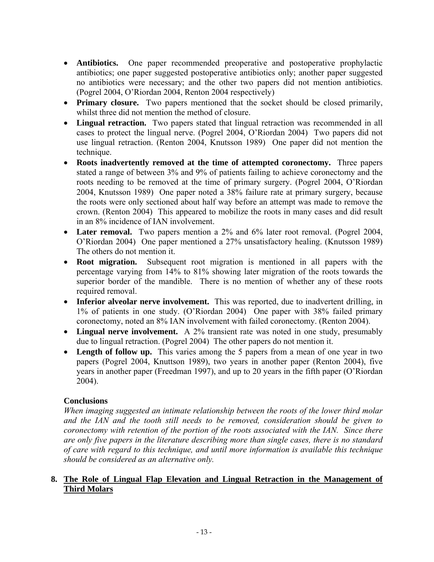- <span id="page-12-0"></span>• **Antibiotics.** One paper recommended preoperative and postoperative prophylactic antibiotics; one paper suggested postoperative antibiotics only; another paper suggested no antibiotics were necessary; and the other two papers did not mention antibiotics. (Pogrel 2004, O'Riordan 2004, Renton 2004 respectively)
- **Primary closure.** Two papers mentioned that the socket should be closed primarily, whilst three did not mention the method of closure.
- **Lingual retraction.** Two papers stated that lingual retraction was recommended in all cases to protect the lingual nerve. (Pogrel 2004, O'Riordan 2004) Two papers did not use lingual retraction. (Renton 2004, Knutsson 1989) One paper did not mention the technique.
- **Roots inadvertently removed at the time of attempted coronectomy.** Three papers stated a range of between 3% and 9% of patients failing to achieve coronectomy and the roots needing to be removed at the time of primary surgery. (Pogrel 2004, O'Riordan 2004, Knutsson 1989) One paper noted a 38% failure rate at primary surgery, because the roots were only sectioned about half way before an attempt was made to remove the crown. (Renton 2004) This appeared to mobilize the roots in many cases and did result in an 8% incidence of IAN involvement.
- **Later removal.** Two papers mention a 2% and 6% later root removal. (Pogrel 2004, O'Riordan 2004) One paper mentioned a 27% unsatisfactory healing. (Knutsson 1989) The others do not mention it.
- **Root migration.** Subsequent root migration is mentioned in all papers with the percentage varying from 14% to 81% showing later migration of the roots towards the superior border of the mandible. There is no mention of whether any of these roots required removal.
- **Inferior alveolar nerve involvement.** This was reported, due to inadvertent drilling, in 1% of patients in one study. (O'Riordan 2004) One paper with 38% failed primary coronectomy, noted an 8% IAN involvement with failed coronectomy. (Renton 2004).
- **Lingual nerve involvement.** A 2% transient rate was noted in one study, presumably due to lingual retraction. (Pogrel 2004) The other papers do not mention it.
- **Length of follow up.** This varies among the 5 papers from a mean of one year in two papers (Pogrel 2004, Knuttson 1989), two years in another paper (Renton 2004), five years in another paper (Freedman 1997), and up to 20 years in the fifth paper (O'Riordan 2004).

# **Conclusions**

*When imaging suggested an intimate relationship between the roots of the lower third molar and the IAN and the tooth still needs to be removed, consideration should be given to coronectomy with retention of the portion of the roots associated with the IAN. Since there are only five papers in the literature describing more than single cases, there is no standard of care with regard to this technique, and until more information is available this technique should be considered as an alternative only.* 

# **8. The Role of Lingual Flap Elevation and Lingual Retraction in the Management of Third Molars**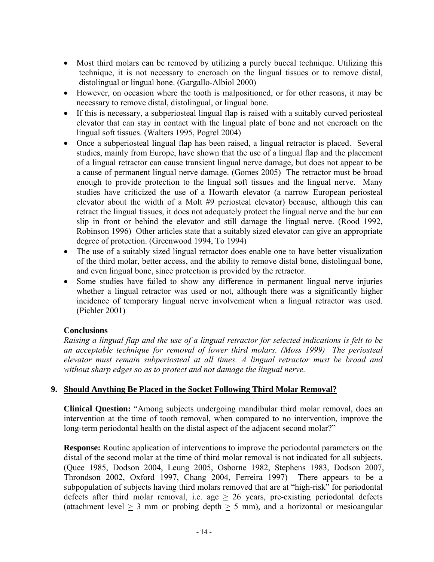- <span id="page-13-0"></span>• Most third molars can be removed by utilizing a purely buccal technique. Utilizing this technique, it is not necessary to encroach on the lingual tissues or to remove distal, distolingual or lingual bone. (Gargallo-Albiol 2000)
- However, on occasion where the tooth is malpositioned, or for other reasons, it may be necessary to remove distal, distolingual, or lingual bone.
- If this is necessary, a subperiosteal lingual flap is raised with a suitably curved periosteal elevator that can stay in contact with the lingual plate of bone and not encroach on the lingual soft tissues. (Walters 1995, Pogrel 2004)
- Once a subperiosteal lingual flap has been raised, a lingual retractor is placed. Several studies, mainly from Europe, have shown that the use of a lingual flap and the placement of a lingual retractor can cause transient lingual nerve damage, but does not appear to be a cause of permanent lingual nerve damage. (Gomes 2005) The retractor must be broad enough to provide protection to the lingual soft tissues and the lingual nerve. Many studies have criticized the use of a Howarth elevator (a narrow European periosteal elevator about the width of a Molt #9 periosteal elevator) because, although this can retract the lingual tissues, it does not adequately protect the lingual nerve and the bur can slip in front or behind the elevator and still damage the lingual nerve. (Rood 1992, Robinson 1996) Other articles state that a suitably sized elevator can give an appropriate degree of protection. (Greenwood 1994, To 1994)
- The use of a suitably sized lingual retractor does enable one to have better visualization of the third molar, better access, and the ability to remove distal bone, distolingual bone, and even lingual bone, since protection is provided by the retractor.
- Some studies have failed to show any difference in permanent lingual nerve injuries whether a lingual retractor was used or not, although there was a significantly higher incidence of temporary lingual nerve involvement when a lingual retractor was used. (Pichler 2001)

# **Conclusions**

*Raising a lingual flap and the use of a lingual retractor for selected indications is felt to be an acceptable technique for removal of lower third molars. (Moss 1999) The periosteal elevator must remain subperiosteal at all times. A lingual retractor must be broad and without sharp edges so as to protect and not damage the lingual nerve.* 

# **9. Should Anything Be Placed in the Socket Following Third Molar Removal?**

**Clinical Question:** "Among subjects undergoing mandibular third molar removal, does an intervention at the time of tooth removal, when compared to no intervention, improve the long-term periodontal health on the distal aspect of the adjacent second molar?"

**Response:** Routine application of interventions to improve the periodontal parameters on the distal of the second molar at the time of third molar removal is not indicated for all subjects. (Quee 1985, Dodson 2004, Leung 2005, Osborne 1982, Stephens 1983, Dodson 2007, Throndson 2002, Oxford 1997, Chang 2004, Ferreira 1997) There appears to be a subpopulation of subjects having third molars removed that are at "high-risk" for periodontal defects after third molar removal, i.e. age  $\geq$  26 years, pre-existing periodontal defects (attachment level  $> 3$  mm or probing depth  $> 5$  mm), and a horizontal or mesioangular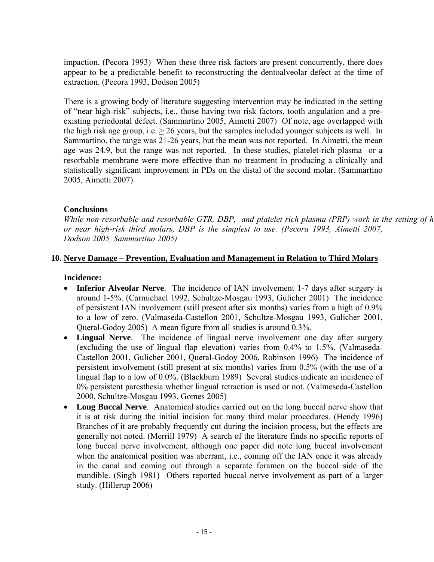<span id="page-14-0"></span>impaction. (Pecora 1993) When these three risk factors are present concurrently, there does appear to be a predictable benefit to reconstructing the dentoalveolar defect at the time of extraction. (Pecora 1993, Dodson 2005)

There is a growing body of literature suggesting intervention may be indicated in the setting of "near high-risk" subjects, i.e., those having two risk factors, tooth angulation and a preexisting periodontal defect. (Sammartino 2005, Aimetti 2007) Of note, age overlapped with the high risk age group, i.e.  $> 26$  years, but the samples included younger subjects as well. In Sammartino, the range was 21-26 years, but the mean was not reported. In Aimetti, the mean age was 24.9, but the range was not reported. In these studies, platelet-rich plasma or a resorbable membrane were more effective than no treatment in producing a clinically and statistically significant improvement in PDs on the distal of the second molar. (Sammartino 2005, Aimetti 2007)

# **Conclusions**

*While non-resorbable and resorbable GTR, DBP, and platelet rich plasma (PRP)* work in the setting of h *or near high-risk third molars, DBP is the simplest to use. (Pecora 1993, Aimetti 2007, Dodson 2005, Sammartino 2005)* 

#### **10. Nerve Damage – Prevention, Evaluation and Management in Relation to Third Molars**

#### **Incidence:**

- **Inferior Alveolar Nerve**. The incidence of IAN involvement 1-7 days after surgery is around 1-5%. (Carmichael 1992, Schultze-Mosgau 1993, Gulicher 2001) The incidence of persistent IAN involvement (still present after six months) varies from a high of 0.9% to a low of zero. (Valmaseda-Castellon 2001, Schultze-Mosgau 1993, Gulicher 2001, Queral-Godoy 2005) A mean figure from all studies is around 0.3%.
- **Lingual Nerve**. The incidence of lingual nerve involvement one day after surgery (excluding the use of lingual flap elevation) varies from 0.4% to 1.5%. (Valmaseda-Castellon 2001, Gulicher 2001, Queral-Godoy 2006, Robinson 1996) The incidence of persistent involvement (still present at six months) varies from 0.5% (with the use of a lingual flap to a low of 0.0%. (Blackburn 1989) Several studies indicate an incidence of 0% persistent paresthesia whether lingual retraction is used or not. (Valmeseda-Castellon 2000, Schultze-Mosgau 1993, Gomes 2005)
- **Long Buccal Nerve**. Anatomical studies carried out on the long buccal nerve show that it is at risk during the initial incision for many third molar procedures. (Hendy 1996) Branches of it are probably frequently cut during the incision process, but the effects are generally not noted. (Merrill 1979) A search of the literature finds no specific reports of long buccal nerve involvement, although one paper did note long buccal involvement when the anatomical position was aberrant, i.e., coming off the IAN once it was already in the canal and coming out through a separate foramen on the buccal side of the mandible. (Singh 1981) Others reported buccal nerve involvement as part of a larger study. (Hillerup 2006)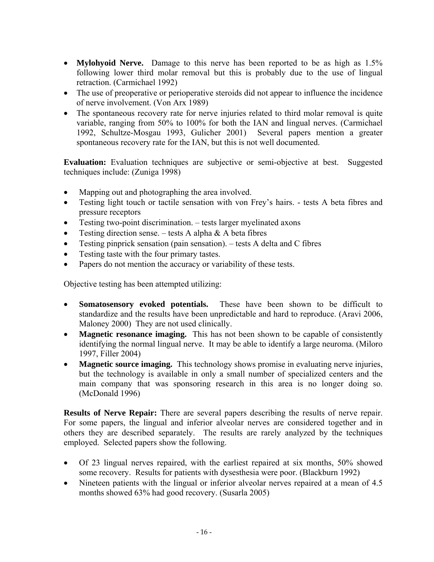- **Mylohyoid Nerve.** Damage to this nerve has been reported to be as high as 1.5% following lower third molar removal but this is probably due to the use of lingual retraction. (Carmichael 1992)
- The use of preoperative or perioperative steroids did not appear to influence the incidence of nerve involvement. (Von Arx 1989)
- The spontaneous recovery rate for nerve injuries related to third molar removal is quite variable, ranging from 50% to 100% for both the IAN and lingual nerves. (Carmichael 1992, Schultze-Mosgau 1993, Gulicher 2001) Several papers mention a greater spontaneous recovery rate for the IAN, but this is not well documented.

**Evaluation:** Evaluation techniques are subjective or semi-objective at best. Suggested techniques include: (Zuniga 1998)

- Mapping out and photographing the area involved.
- Testing light touch or tactile sensation with von Frey's hairs. tests A beta fibres and pressure receptors
- Testing two-point discrimination. tests larger myelinated axons
- Testing direction sense. tests A alpha  $\&$  A beta fibres
- Testing pinprick sensation (pain sensation). tests A delta and C fibres
- Testing taste with the four primary tastes.
- Papers do not mention the accuracy or variability of these tests.

Objective testing has been attempted utilizing:

- **Somatosensory evoked potentials.** These have been shown to be difficult to standardize and the results have been unpredictable and hard to reproduce. (Aravi 2006, Maloney 2000) They are not used clinically.
- **Magnetic resonance imaging.** This has not been shown to be capable of consistently identifying the normal lingual nerve. It may be able to identify a large neuroma. (Miloro 1997, Filler 2004)
- **Magnetic source imaging.** This technology shows promise in evaluating nerve injuries, but the technology is available in only a small number of specialized centers and the main company that was sponsoring research in this area is no longer doing so. (McDonald 1996)

**Results of Nerve Repair:** There are several papers describing the results of nerve repair. For some papers, the lingual and inferior alveolar nerves are considered together and in others they are described separately. The results are rarely analyzed by the techniques employed. Selected papers show the following.

- Of 23 lingual nerves repaired, with the earliest repaired at six months, 50% showed some recovery. Results for patients with dysesthesia were poor. (Blackburn 1992)
- Nineteen patients with the lingual or inferior alveolar nerves repaired at a mean of 4.5 months showed 63% had good recovery. (Susarla 2005)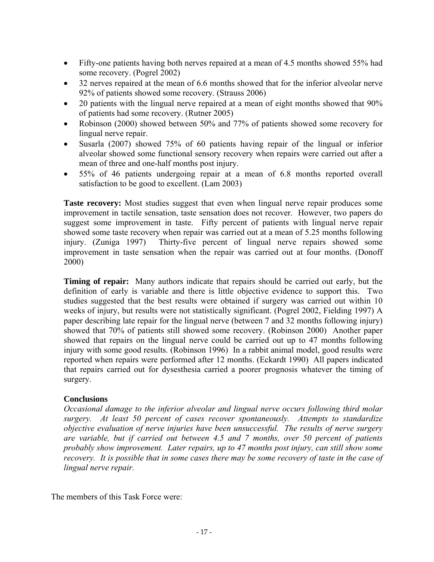- <span id="page-16-0"></span>• Fifty-one patients having both nerves repaired at a mean of 4.5 months showed 55% had some recovery. (Pogrel 2002)
- 32 nerves repaired at the mean of 6.6 months showed that for the inferior alveolar nerve 92% of patients showed some recovery. (Strauss 2006)
- 20 patients with the lingual nerve repaired at a mean of eight months showed that 90% of patients had some recovery. (Rutner 2005)
- Robinson (2000) showed between 50% and 77% of patients showed some recovery for lingual nerve repair.
- Susarla (2007) showed 75% of 60 patients having repair of the lingual or inferior alveolar showed some functional sensory recovery when repairs were carried out after a mean of three and one-half months post injury.
- 55% of 46 patients undergoing repair at a mean of 6.8 months reported overall satisfaction to be good to excellent. (Lam 2003)

**Taste recovery:** Most studies suggest that even when lingual nerve repair produces some improvement in tactile sensation, taste sensation does not recover. However, two papers do suggest some improvement in taste. Fifty percent of patients with lingual nerve repair showed some taste recovery when repair was carried out at a mean of 5.25 months following injury. (Zuniga 1997) Thirty-five percent of lingual nerve repairs showed some improvement in taste sensation when the repair was carried out at four months. (Donoff 2000)

**Timing of repair:** Many authors indicate that repairs should be carried out early, but the definition of early is variable and there is little objective evidence to support this. Two studies suggested that the best results were obtained if surgery was carried out within 10 weeks of injury, but results were not statistically significant. (Pogrel 2002, Fielding 1997) A paper describing late repair for the lingual nerve (between 7 and 32 months following injury) showed that 70% of patients still showed some recovery. (Robinson 2000) Another paper showed that repairs on the lingual nerve could be carried out up to 47 months following injury with some good results. (Robinson 1996) In a rabbit animal model, good results were reported when repairs were performed after 12 months. (Eckardt 1990) All papers indicated that repairs carried out for dysesthesia carried a poorer prognosis whatever the timing of surgery.

# **Conclusions**

*Occasional damage to the inferior alveolar and lingual nerve occurs following third molar surgery. At least 50 percent of cases recover spontaneously. Attempts to standardize objective evaluation of nerve injuries have been unsuccessful. The results of nerve surgery are variable, but if carried out between 4.5 and 7 months, over 50 percent of patients probably show improvement. Later repairs, up to 47 months post injury, can still show some recovery. It is possible that in some cases there may be some recovery of taste in the case of lingual nerve repair.*

The members of this Task Force were: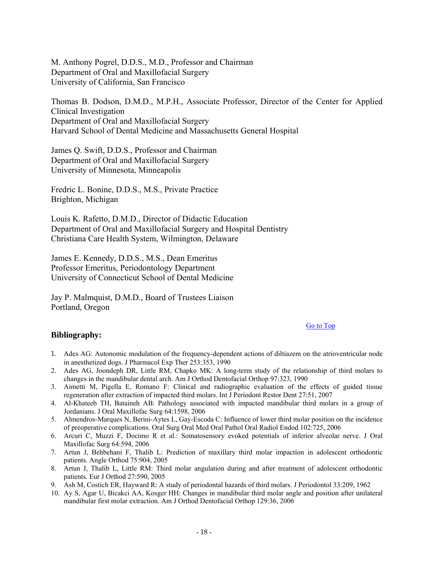<span id="page-17-0"></span>M. Anthony Pogrel, D.D.S., M.D., Professor and Chairman Department of Oral and Maxillofacial Surgery University of California, San Francisco

Thomas B. Dodson, D.M.D., M.P.H., Associate Professor, Director of the Center for Applied Clinical Investigation Department of Oral and Maxillofacial Surgery Harvard School of Dental Medicine and Massachusetts General Hospital

James Q. Swift, D.D.S., Professor and Chairman Department of Oral and Maxillofacial Surgery University of Minnesota, Minneapolis

Fredric L. Bonine, D.D.S., M.S., Private Practice Brighton, Michigan

Louis K. Rafetto, D.M.D., Director of Didactic Education Department of Oral and Maxillofacial Surgery and Hospital Dentistry Christiana Care Health System, Wilmington, Delaware

James E. Kennedy, D.D.S., M.S., Dean Emeritus Professor Emeritus, Periodontology Department University of Connecticut School of Dental Medicine

Jay P. Malmquist, D.M.D., Board of Trustees Liaison Portland, Oregon

#### [Go to Top](#page-0-0)

#### **Bibliography:**

- 1. Ades AG: Autonomic modulation of the frequency-dependent actions of diltiazem on the atrioventricular node in anesthetized dogs. J Pharmacol Exp Ther 253:353, 1990
- 2. Ades AG, Joondeph DR, Little RM, Chapko MK: A long-term study of the relationship of third molars to changes in the mandibular dental arch. Am J Orthod Dentofacial Orthop 97:323, 1990
- 3. Aimetti M, Pigella E, Romano F: Clinical and radiographic evaluation of the effects of guided tissue regeneration after extraction of impacted third molars. Int J Periodont Restor Dent 27:51, 2007
- 4. Al-Khateeb TH, Bataineh AB: Pathology associated with impacted mandibular third molars in a group of Jordanians. J Oral Maxillofac Surg 64:1598, 2006
- 5. Almendros-Marques N, Berini-Aytes L, Gay-Escoda C: Influence of lower third molar position on the incidence of preoperative complications. Oral Surg Oral Med Oral Pathol Oral Radiol Endod 102:725, 2006
- 6. Arcuri C, Muzzi F, Docimo R et al.: Somatosensory evoked potentials of inferior alveolar nerve. J Oral Maxillofac Surg 64:594, 2006
- 7. Artun J, Behbehani F, Thalib L: Prediction of maxillary third molar impaction in adolescent orthodontic patients. Angle Orthod 75:904, 2005
- 8. Artun J, Thalib L, Little RM: Third molar angulation during and after treatment of adolescent orthodontic patients. Eur J Orthod 27:590, 2005
- 9. Ash M, Costich ER, Hayward R: A study of periodontal hazards of third molars. J Periodontol 33:209, 1962
- 10. Ay S, Agar U, Bicakci AA, Kosger HH: Changes in mandibular third molar angle and position after unilateral mandibular first molar extraction. Am J Orthod Dentofacial Orthop 129:36, 2006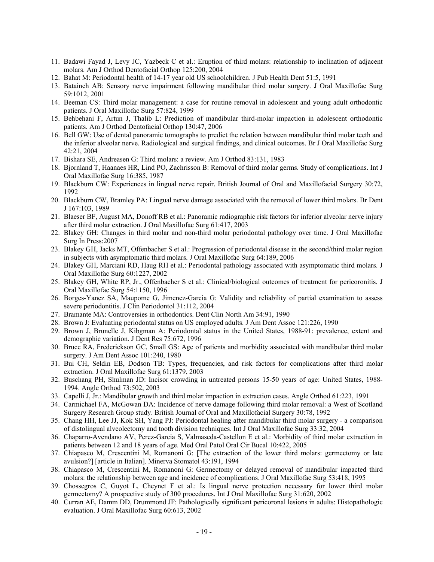- 11. Badawi Fayad J, Levy JC, Yazbeck C et al.: Eruption of third molars: relationship to inclination of adjacent molars. Am J Orthod Dentofacial Orthop 125:200, 2004
- 12. Bahat M: Periodontal health of 14-17 year old US schoolchildren. J Pub Health Dent 51:5, 1991
- 13. Bataineh AB: Sensory nerve impairment following mandibular third molar surgery. J Oral Maxillofac Surg 59:1012, 2001
- 14. Beeman CS: Third molar management: a case for routine removal in adolescent and young adult orthodontic patients. J Oral Maxillofac Surg 57:824, 1999
- 15. Behbehani F, Artun J, Thalib L: Prediction of mandibular third-molar impaction in adolescent orthodontic patients. Am J Orthod Dentofacial Orthop 130:47, 2006
- 16. Bell GW: Use of dental panoramic tomographs to predict the relation between mandibular third molar teeth and the inferior alveolar nerve. Radiological and surgical findings, and clinical outcomes. Br J Oral Maxillofac Surg 42:21, 2004
- 17. Bishara SE, Andreasen G: Third molars: a review. Am J Orthod 83:131, 1983
- 18. Bjornland T, Haanaes HR, Lind PO, Zachrisson B: Removal of third molar germs. Study of complications. Int J Oral Maxillofac Surg 16:385, 1987
- 19. Blackburn CW: Experiences in lingual nerve repair. British Journal of Oral and Maxillofacial Surgery 30:72, 1992
- 20. Blackburn CW, Bramley PA: Lingual nerve damage associated with the removal of lower third molars. Br Dent J 167:103, 1989
- 21. Blaeser BF, August MA, Donoff RB et al.: Panoramic radiographic risk factors for inferior alveolar nerve injury after third molar extraction. J Oral Maxillofac Surg 61:417, 2003
- 22. Blakey GH: Changes in third molar and non-third molar periodontal pathology over time. J Oral Maxillofac Surg In Press:2007
- 23. Blakey GH, Jacks MT, Offenbacher S et al.: Progression of periodontal disease in the second/third molar region in subjects with asymptomatic third molars. J Oral Maxillofac Surg 64:189, 2006
- 24. Blakey GH, Marciani RD, Haug RH et al.: Periodontal pathology associated with asymptomatic third molars. J Oral Maxillofac Surg 60:1227, 2002
- 25. Blakey GH, White RP, Jr., Offenbacher S et al.: Clinical/biological outcomes of treatment for pericoronitis. J Oral Maxillofac Surg 54:1150, 1996
- 26. Borges-Yanez SA, Maupome G, Jimenez-Garcia G: Validity and reliability of partial examination to assess severe periodontitis. J Clin Periodontol 31:112, 2004
- 27. Bramante MA: Controversies in orthodontics. Dent Clin North Am 34:91, 1990
- 28. Brown J: Evaluating periodontal status on US employed adults. J Am Dent Assoc 121:226, 1990
- 29. Brown J, Brunelle J, Kibgman A: Periodontal status in the United States, 1988-91: prevalence, extent and demographic variation. J Dent Res 75:672, 1996
- 30. Bruce RA, Frederickson GC, Small GS: Age of patients and morbidity associated with mandibular third molar surgery. J Am Dent Assoc 101:240, 1980
- 31. Bui CH, Seldin EB, Dodson TB: Types, frequencies, and risk factors for complications after third molar extraction. J Oral Maxillofac Surg 61:1379, 2003
- 32. Buschang PH, Shulman JD: Incisor crowding in untreated persons 15-50 years of age: United States, 1988- 1994. Angle Orthod 73:502, 2003
- 33. Capelli J, Jr.: Mandibular growth and third molar impaction in extraction cases. Angle Orthod 61:223, 1991
- 34. Carmichael FA, McGowan DA: Incidence of nerve damage following third molar removal: a West of Scotland Surgery Research Group study. British Journal of Oral and Maxillofacial Surgery 30:78, 1992
- 35. Chang HH, Lee JJ, Kok SH, Yang PJ: Periodontal healing after mandibular third molar surgery a comparison of distolingual alveolectomy and tooth division techniques. Int J Oral Maxillofac Surg 33:32, 2004
- 36. Chaparro-Avendano AV, Perez-Garcia S, Valmaseda-Castellon E et al.: Morbidity of third molar extraction in patients between 12 and 18 years of age. Med Oral Patol Oral Cir Bucal 10:422, 2005
- 37. Chiapasco M, Crescentini M, Romanoni G: [The extraction of the lower third molars: germectomy or late avulsion?] [article in Italian]. Minerva Stomatol 43:191, 1994
- 38. Chiapasco M, Crescentini M, Romanoni G: Germectomy or delayed removal of mandibular impacted third molars: the relationship between age and incidence of complications. J Oral Maxillofac Surg 53:418, 1995
- 39. Chossegros C, Guyot L, Cheynet F et al.: Is lingual nerve protection necessary for lower third molar germectomy? A prospective study of 300 procedures. Int J Oral Maxillofac Surg 31:620, 2002
- 40. Curran AE, Damm DD, Drummond JF: Pathologically significant pericoronal lesions in adults: Histopathologic evaluation. J Oral Maxillofac Surg 60:613, 2002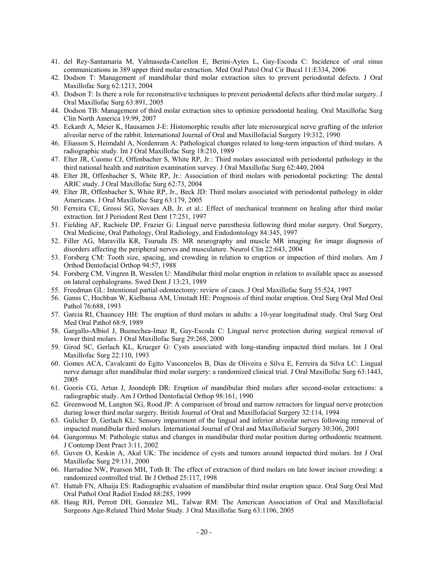- 41. del Rey-Santamaria M, Valmaseda-Castellon E, Berini-Aytes L, Gay-Escoda C: Incidence of oral sinus communications in 389 upper third molar extraction. Med Oral Patol Oral Cir Bucal 11:E334, 2006
- 42. Dodson T: Management of mandibular third molar extraction sites to prevent periodontal defects. J Oral Maxillofac Surg 62:1213, 2004
- 43. Dodson T: Is there a role for reconstructive techniques to prevent periodontal defects after third molar surgery. J Oral Maxillofac Surg 63:891, 2005
- 44. Dodson TB: Management of third molar extraction sites to optimize periodontal healing. Oral Maxillofac Surg Clin North America 19:99, 2007
- 45. Eckardt A, Meier K, Hausamen J-E: Histomorphic results after late microsurgical nerve grafting of the inferior alveolar nerve of the rabbit. International Journal of Oral and Maxillofacial Surgery 19:312, 1990
- 46. Eliasson S, Heimdahl A, Nordenram A: Pathological changes related to long-term impaction of third molars. A radiographic study. Int J Oral Maxillofac Surg 18:210, 1989
- 47. Elter JR, Cuomo CJ, Offenbacher S, White RP, Jr.: Third molars associated with periodontal pathology in the third national health and nutrition examination survey. J Oral Maxillofac Surg 62:440, 2004
- 48. Elter JR, Offenbacher S, White RP, Jr.: Association of third molars with periodontal pocketing: The dental ARIC study. J Oral Maxillofac Surg 62:73, 2004
- 49. Elter JR, Offenbacher S, White RP, Jr., Beck JD: Third molars associated with periodontal pathology in older Americans. J Oral Maxillofac Surg 63:179, 2005
- 50. Ferreira CE, Grossi SG, Novaes AB, Jr. et al.: Effect of mechanical treatment on healing after third molar extraction. Int J Periodont Rest Dent 17:251, 1997
- 51. Fielding AF, Rachiele DP, Frazier G: Lingual nerve paresthesia following third molar surgery. Oral Surgery, Oral Medicine, Oral Pathology, Oral Radiology, and Endodontology 84:345, 1997
- 52. Filler AG, Maravilla KR, Tsuruda JS: MR neurography and muscle MR imaging for image diagnosis of disorders affecting the peripheral nerves and musculature. Neurol Clin 22:643, 2004
- 53. Forsberg CM: Tooth size, spacing, and crowding in relation to eruption or impaction of third molars. Am J Orthod Dentofacial Orthop 94:57, 1988
- 54. Forsberg CM, Vingren B, Wesslen U: Mandibular third molar eruption in relation to available space as assessed on lateral cephalograms. Swed Dent J 13:23, 1989
- 55. Freedman GL: Intentional partial odontectomy: review of cases. J Oral Maxillofac Surg 55:524, 1997
- 56. Ganss C, Hochban W, Kielbassa AM, Umstadt HE: Prognosis of third molar eruption. Oral Surg Oral Med Oral Pathol 76:688, 1993
- 57. Garcia RI, Chauncey HH: The eruption of third molars in adults: a 10-year longitudinal study. Oral Surg Oral Med Oral Pathol 68:9, 1989
- 58. Gargallo-Albiol J, Buenechea-Imaz R, Gay-Escoda C: Lingual nerve protection during surgical removal of lower third molars. J Oral Maxillofac Surg 29:268, 2000
- 59. Girod SC, Gerlach KL, Krueger G: Cysts associated with long-standing impacted third molars. Int J Oral Maxillofac Surg 22:110, 1993
- 60. Gomes ACA, Cavalcanti do Egito Vasconcelos B, Dias de Oliveira e Silva E, Ferreira da Silva LC: Lingual nerve damage after mandibular third molar surgery: a randomized clinical trial. J Oral Maxillofac Surg 63:1443, 2005
- 61. Gooris CG, Artun J, Joondeph DR: Eruption of mandibular third molars after second-molar extractions: a radiographic study. Am J Orthod Dentofacial Orthop 98:161, 1990
- 62. Greenwood M, Langton SG, Rood JP: A comparison of broad and narrow retractors for lingual nerve protection during lower third molar surgery. British Journal of Oral and Maxillofacial Surgery 32:114, 1994
- 63. Gulicher D, Gerlach KL: Sensory impairment of the lingual and inferior alveolar nerves following removal of impacted mandibular third molars. International Journal of Oral and Maxillofacial Surgery 30:306, 2001
- 64. Gungormus M: Pathologic status and changes in mandibular third molar position during orthodontic treatment. J Contemp Dent Pract 3:11, 2002
- 65. Guven O, Keskin A, Akal UK: The incidence of cysts and tumors around impacted third molars. Int J Oral Maxillofac Surg 29:131, 2000
- 66. Harradine NW, Pearson MH, Toth B: The effect of extraction of third molars on late lower incisor crowding: a randomized controlled trial. Br J Orthod 25:117, 1998
- 67. Hattab FN, Alhaija ES: Radiographic evaluation of mandibular third molar eruption space. Oral Surg Oral Med Oral Pathol Oral Radiol Endod 88:285, 1999
- 68. Haug RH, Perrott DH, Gonzalez ML, Talwar RM: The American Association of Oral and Maxillofacial Surgeons Age-Related Third Molar Study. J Oral Maxillofac Surg 63:1106, 2005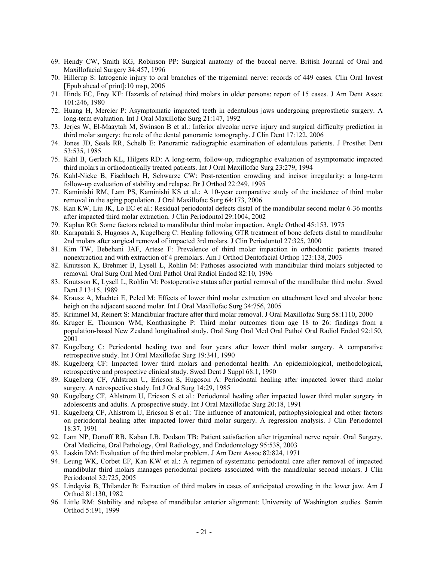- 69. Hendy CW, Smith KG, Robinson PP: Surgical anatomy of the buccal nerve. British Journal of Oral and Maxillofacial Surgery 34:457, 1996
- 70. Hillerup S: Iatrogenic injury to oral branches of the trigeminal nerve: records of 449 cases. Clin Oral Invest [Epub ahead of print]:10 msp, 2006
- 71. Hinds EC, Frey KF: Hazards of retained third molars in older persons: report of 15 cases. J Am Dent Assoc 101:246, 1980
- 72. Huang H, Mercier P: Asymptomatic impacted teeth in edentulous jaws undergoing preprosthetic surgery. A long-term evaluation. Int J Oral Maxillofac Surg 21:147, 1992
- 73. Jerjes W, El-Maaytah M, Swinson B et al.: Inferior alveolar nerve injury and surgical difficulty prediction in third molar surgery: the role of the dental panoramic tomography. J Clin Dent 17:122, 2006
- 74. Jones JD, Seals RR, Schelb E: Panoramic radiographic examination of edentulous patients. J Prosthet Dent 53:535, 1985
- 75. Kahl B, Gerlach KL, Hilgers RD: A long-term, follow-up, radiographic evaluation of asymptomatic impacted third molars in orthodontically treated patients. Int J Oral Maxillofac Surg 23:279, 1994
- 76. Kahl-Nieke B, Fischbach H, Schwarze CW: Post-retention crowding and incisor irregularity: a long-term follow-up evaluation of stability and relapse. Br J Orthod 22:249, 1995
- 77. Kaminishi RM, Lam PS, Kaminishi KS et al.: A 10-year comparative study of the incidence of third molar removal in the aging population. J Oral Maxillofac Surg 64:173, 2006
- 78. Kan KW, Liu JK, Lo EC et al.: Residual periodontal defects distal of the mandibular second molar 6-36 months after impacted third molar extraction. J Clin Periodontol 29:1004, 2002
- 79. Kaplan RG: Some factors related to mandibular third molar impaction. Angle Orthod 45:153, 1975
- 80. Karapataki S, Hugosos A, Kugelberg C: Healing following GTR treatment of bone defects distal to mandibular 2nd molars after surgical removal of impacted 3rd molars. J Clin Periodontol 27:325, 2000
- 81. Kim TW, Bebehani JAF, Artese F: Prevalence of third molar impaction in orthodontic patients treated nonextraction and with extraction of 4 premolars. Am J Orthod Dentofacial Orthop 123:138, 2003
- 82. Knutsson K, Brehmer B, Lysell L, Rohlin M: Pathoses associated with mandibular third molars subjected to removal. Oral Surg Oral Med Oral Pathol Oral Radiol Endod 82:10, 1996
- 83. Knutsson K, Lysell L, Rohlin M: Postoperative status after partial removal of the mandibular third molar. Swed Dent J 13:15, 1989
- 84. Krausz A, Machtei E, Peled M: Effects of lower third molar extraction on attachment level and alveolar bone heigh on the adjacent second molar. Int J Oral Maxillofac Surg 34:756, 2005
- 85. Krimmel M, Reinert S: Mandibular fracture after third molar removal. J Oral Maxillofac Surg 58:1110, 2000
- 86. Kruger E, Thomson WM, Konthasinghe P: Third molar outcomes from age 18 to 26: findings from a population-based New Zealand longitudinal study. Oral Surg Oral Med Oral Pathol Oral Radiol Endod 92:150, 2001
- 87. Kugelberg C: Periodontal healing two and four years after lower third molar surgery. A comparative retrospective study. Int J Oral Maxillofac Surg 19:341, 1990
- 88. Kugelberg CF: Impacted lower third molars and periodontal health. An epidemiological, methodological, retrospective and prospective clinical study. Swed Dent J Suppl 68:1, 1990
- 89. Kugelberg CF, Ahlstrom U, Ericson S, Hugoson A: Periodontal healing after impacted lower third molar surgery. A retrospective study. Int J Oral Surg 14:29, 1985
- 90. Kugelberg CF, Ahlstrom U, Ericson S et al.: Periodontal healing after impacted lower third molar surgery in adolescents and adults. A prospective study. Int J Oral Maxillofac Surg 20:18, 1991
- 91. Kugelberg CF, Ahlstrom U, Ericson S et al.: The influence of anatomical, pathophysiological and other factors on periodontal healing after impacted lower third molar surgery. A regression analysis. J Clin Periodontol 18:37, 1991
- 92. Lam NP, Donoff RB, Kaban LB, Dodson TB: Patient satisfaction after trigeminal nerve repair. Oral Surgery, Oral Medicine, Oral Pathology, Oral Radiology, and Endodontology 95:538, 2003
- 93. Laskin DM: Evaluation of the third molar problem. J Am Dent Assoc 82:824, 1971
- 94. Leung WK, Corbet EF, Kan KW et al.: A regimen of systematic periodontal care after removal of impacted mandibular third molars manages periodontal pockets associated with the mandibular second molars. J Clin Periodontol 32:725, 2005
- 95. Lindqvist B, Thilander B: Extraction of third molars in cases of anticipated crowding in the lower jaw. Am J Orthod 81:130, 1982
- 96. Little RM: Stability and relapse of mandibular anterior alignment: University of Washington studies. Semin Orthod 5:191, 1999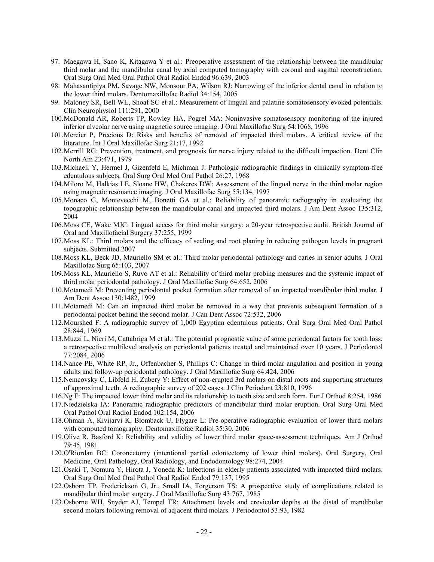- 97. Maegawa H, Sano K, Kitagawa Y et al.: Preoperative assessment of the relationship between the mandibular third molar and the mandibular canal by axial computed tomography with coronal and sagittal reconstruction. Oral Surg Oral Med Oral Pathol Oral Radiol Endod 96:639, 2003
- 98. Mahasantipiya PM, Savage NW, Monsour PA, Wilson RJ: Narrowing of the inferior dental canal in relation to the lower third molars. Dentomaxillofac Radiol 34:154, 2005
- 99. Maloney SR, Bell WL, Shoaf SC et al.: Measurement of lingual and palatine somatosensory evoked potentials. Clin Neurophysiol 111:291, 2000
- 100. McDonald AR, Roberts TP, Rowley HA, Pogrel MA: Noninvasive somatosensory monitoring of the injured inferior alveolar nerve using magnetic source imaging. J Oral Maxillofac Surg 54:1068, 1996
- 101. Mercier P, Precious D: Risks and benefits of removal of impacted third molars. A critical review of the literature. Int J Oral Maxillofac Surg 21:17, 1992
- 102. Merrill RG: Prevention, treatment, and prognosis for nerve injury related to the difficult impaction. Dent Clin North Am 23:471, 1979
- 103. Michaeli Y, Hermel J, Gizenfeld E, Michman J: Pathologic radiographic findings in clinically symptom-free edentulous subjects. Oral Surg Oral Med Oral Pathol 26:27, 1968
- 104. Miloro M, Halkias LE, Sloane HW, Chakeres DW: Assessment of the lingual nerve in the third molar region using magnetic resonance imaging. J Oral Maxillofac Surg 55:134, 1997
- 105. Monaco G, Montevecchi M, Bonetti GA et al.: Reliability of panoramic radiography in evaluating the topographic relationship between the mandibular canal and impacted third molars. J Am Dent Assoc 135:312, 2004
- 106. Moss CE, Wake MJC: Lingual access for third molar surgery: a 20-year retrospective audit. British Journal of Oral and Maxillofacial Surgery 37:255, 1999
- 107. Moss KL: Third molars and the efficacy of scaling and root planing in reducing pathogen levels in pregnant subjects. Submitted 2007
- 108. Moss KL, Beck JD, Mauriello SM et al.: Third molar periodontal pathology and caries in senior adults. J Oral Maxillofac Surg 65:103, 2007
- 109. Moss KL, Mauriello S, Ruvo AT et al.: Reliability of third molar probing measures and the systemic impact of third molar periodontal pathology. J Oral Maxillofac Surg 64:652, 2006
- 110. Motamedi M: Preventing periodontal pocket formation after removal of an impacted mandibular third molar. J Am Dent Assoc 130:1482, 1999
- 111. Motamedi M: Can an impacted third molar be removed in a way that prevents subsequent formation of a periodontal pocket behind the second molar. J Can Dent Assoc 72:532, 2006
- 112. Mourshed F: A radiographic survey of 1,000 Egyptian edentulous patients. Oral Surg Oral Med Oral Pathol 28:844, 1969
- 113. Muzzi L, Nieri M, Cattabriga M et al.: The potential prognostic value of some periodontal factors for tooth loss: a retrospective multilevel analysis on periodontal patients treated and maintained over 10 years. J Periodontol 77:2084, 2006
- 114. Nance PE, White RP, Jr., Offenbacher S, Phillips C: Change in third molar angulation and position in young adults and follow-up periodontal pathology. J Oral Maxillofac Surg 64:424, 2006
- 115. Nemcovsky C, Libfeld H, Zubery Y: Effect of non-erupted 3rd molars on distal roots and supporting structures of approximal teeth. A rediographic survey of 202 cases. J Clin Periodont 23:810, 1996
- 116. Ng F: The impacted lower third molar and its relationship to tooth size and arch form. Eur J Orthod 8:254, 1986
- 117. Niedzielska IA: Panoramic radiographic predictors of mandibular third molar eruption. Oral Surg Oral Med Oral Pathol Oral Radiol Endod 102:154, 2006
- 118. Ohman A, Kivijarvi K, Blomback U, Flygare L: Pre-operative radiographic evaluation of lower third molars with computed tomography. Dentomaxillofac Radiol 35:30, 2006
- 119. Olive R, Basford K: Reliability and validity of lower third molar space-assessment techniques. Am J Orthod 79:45, 1981
- 120. O'Riordan BC: Coronectomy (intentional partial odontectomy of lower third molars). Oral Surgery, Oral Medicine, Oral Pathology, Oral Radiology, and Endodontology 98:274, 2004
- 121. Osaki T, Nomura Y, Hirota J, Yoneda K: Infections in elderly patients associated with impacted third molars. Oral Surg Oral Med Oral Pathol Oral Radiol Endod 79:137, 1995
- 122. Osborn TP, Frederickson G, Jr., Small IA, Torgerson TS: A prospective study of complications related to mandibular third molar surgery. J Oral Maxillofac Surg 43:767, 1985
- 123. Osborne WH, Snyder AJ, Tempel TR: Attachment levels and crevicular depths at the distal of mandibular second molars following removal of adjacent third molars. J Periodontol 53:93, 1982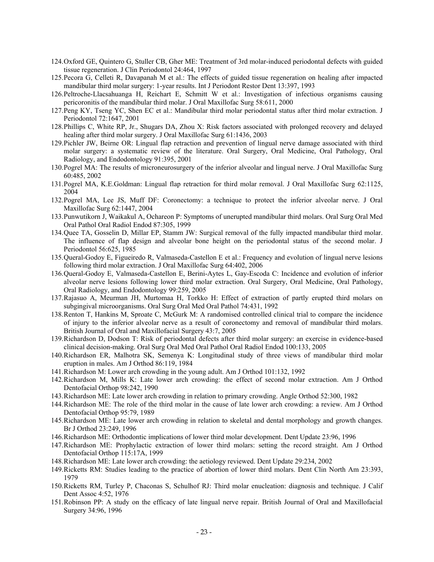- 124. Oxford GE, Quintero G, Stuller CB, Gher ME: Treatment of 3rd molar-induced periodontal defects with guided tissue regeneration. J Clin Periodontol 24:464, 1997
- 125. Pecora G, Celleti R, Davapanah M et al.: The effects of guided tissue regeneration on healing after impacted mandibular third molar surgery: 1-year results. Int J Periodont Restor Dent 13:397, 1993
- 126. Peltroche-Llacsahuanga H, Reichart E, Schmitt W et al.: Investigation of infectious organisms causing pericoronitis of the mandibular third molar. J Oral Maxillofac Surg 58:611, 2000
- 127. Peng KY, Tseng YC, Shen EC et al.: Mandibular third molar periodontal status after third molar extraction. J Periodontol 72:1647, 2001
- 128. Phillips C, White RP, Jr., Shugars DA, Zhou X: Risk factors associated with prolonged recovery and delayed healing after third molar surgery. J Oral Maxillofac Surg 61:1436, 2003
- 129. Pichler JW, Beirne OR: Lingual flap retraction and prevention of lingual nerve damage associated with third molar surgery: a systematic review of the literature. Oral Surgery, Oral Medicine, Oral Pathology, Oral Radiology, and Endodontology 91:395, 2001
- 130. Pogrel MA: The results of microneurosurgery of the inferior alveolar and lingual nerve. J Oral Maxillofac Surg 60:485, 2002
- 131. Pogrel MA, K.E.Goldman: Lingual flap retraction for third molar removal. J Oral Maxillofac Surg 62:1125, 2004
- 132. Pogrel MA, Lee JS, Muff DF: Coronectomy: a technique to protect the inferior alveolar nerve. J Oral Maxillofac Surg 62:1447, 2004
- 133. Punwutikorn J, Waikakul A, Ochareon P: Symptoms of unerupted mandibular third molars. Oral Surg Oral Med Oral Pathol Oral Radiol Endod 87:305, 1999
- 134. Quee TA, Gosselin D, Millar EP, Stamm JW: Surgical removal of the fully impacted mandibular third molar. The influence of flap design and alveolar bone height on the periodontal status of the second molar. J Periodontol 56:625, 1985
- 135. Queral-Godoy E, Figueiredo R, Valmaseda-Castellon E et al.: Frequency and evolution of lingual nerve lesions following third molar extraction. J Oral Maxillofac Surg 64:402, 2006
- 136. Queral-Godoy E, Valmaseda-Castellon E, Berini-Aytes L, Gay-Escoda C: Incidence and evolution of inferior alveolar nerve lesions following lower third molar extraction. Oral Surgery, Oral Medicine, Oral Pathology, Oral Radiology, and Endodontology 99:259, 2005
- 137. Rajasuo A, Meurman JH, Murtomaa H, Torkko H: Effect of extraction of partly erupted third molars on subgingival microorganisms. Oral Surg Oral Med Oral Pathol 74:431, 1992
- 138. Renton T, Hankins M, Sproate C, McGurk M: A randomised controlled clinical trial to compare the incidence of injury to the inferior alveolar nerve as a result of coronectomy and removal of mandibular third molars. British Journal of Oral and Maxillofacial Surgery 43:7, 2005
- 139. Richardson D, Dodson T: Risk of periodontal defects after third molar surgery: an exercise in evidence-based clinical decision-making. Oral Surg Oral Med Oral Pathol Oral Radiol Endod 100:133, 2005
- 140. Richardson ER, Malhotra SK, Semenya K: Longitudinal study of three views of mandibular third molar eruption in males. Am J Orthod 86:119, 1984
- 141. Richardson M: Lower arch crowding in the young adult. Am J Orthod 101:132, 1992
- 142. Richardson M, Mills K: Late lower arch crowding: the effect of second molar extraction. Am J Orthod Dentofacial Orthop 98:242, 1990
- 143. Richardson ME: Late lower arch crowding in relation to primary crowding. Angle Orthod 52:300, 1982
- 144. Richardson ME: The role of the third molar in the cause of late lower arch crowding: a review. Am J Orthod Dentofacial Orthop 95:79, 1989
- 145. Richardson ME: Late lower arch crowding in relation to skeletal and dental morphology and growth changes. Br J Orthod 23:249, 1996
- 146. Richardson ME: Orthodontic implications of lower third molar development. Dent Update 23:96, 1996
- 147. Richardson ME: Prophylactic extraction of lower third molars: setting the record straight. Am J Orthod Dentofacial Orthop 115:17A, 1999
- 148. Richardson ME: Late lower arch crowding: the aetiology reviewed. Dent Update 29:234, 2002
- 149. Ricketts RM: Studies leading to the practice of abortion of lower third molars. Dent Clin North Am 23:393, 1979
- 150. Ricketts RM, Turley P, Chaconas S, Schulhof RJ: Third molar enucleation: diagnosis and technique. J Calif Dent Assoc 4:52, 1976
- 151. Robinson PP: A study on the efficacy of late lingual nerve repair. British Journal of Oral and Maxillofacial Surgery 34:96, 1996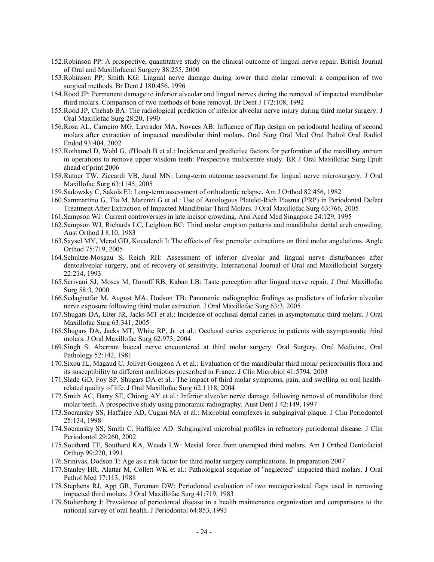- 152. Robinson PP: A prospective, quantitative study on the clinical outcome of lingual nerve repair. British Journal of Oral and Maxillofacial Surgery 38:255, 2000
- 153. Robinson PP, Smith KG: Lingual nerve damage during lower third molar removal: a comparison of two surgical methods. Br Dent J 180:456, 1996
- 154. Rood JP: Permanent damage to inferior alveolar and lingual nerves during the removal of impacted mandibular third molars. Comparison of two methods of bone removal. Br Dent J 172:108, 1992
- 155. Rood JP, Chehab BA: The radiological prediction of inferior alveolar nerve injury during third molar surgery. J Oral Maxillofac Surg 28:20, 1990
- 156. Rosa AL, Carneiro MG, Lavrador MA, Novaes AB: Influence of flap design on periodontal healing of second molars after extraction of impacted mandibular third molars. Oral Surg Oral Med Oral Pathol Oral Radiol Endod 93:404, 2002
- 157. Rothamel D, Wahl G, d'Hoedt B et al.: Incidence and predictive factors for perforation of the maxillary antrum in operations to remove upper wisdom teeth: Prospective multicentre study. BR J Oral Maxillofac Surg Epub ahead of print:2006
- 158. Rutner TW, Ziccardi VB, Janal MN: Long-term outcome assessment for lingual nerve microsurgery. J Oral Maxillofac Surg 63:1145, 2005
- 159. Sadowsky C, Sakols EI: Long-term assessment of orthodontic relapse. Am J Orthod 82:456, 1982
- 160. Sammartino G, Tia M, Marenzi G et al.: Use of Autologous Platelet-Rich Plasma (PRP) in Periodontal Defect Treatment After Extraction of Impacted Mandibular Third Molars. J Oral Maxillofac Surg 63:766, 2005
- 161. Sampson WJ: Current controversies in late incisor crowding. Ann Acad Med Singapore 24:129, 1995
- 162. Sampson WJ, Richards LC, Leighton BC: Third molar eruption patterns and mandibular dental arch crowding. Aust Orthod J 8:10, 1983
- 163. Saysel MY, Meral GD, Kocadereli I: The effects of first premolar extractions on third molar angulations. Angle Orthod 75:719, 2005
- 164. Schultze-Mosgau S, Reich RH: Assessment of inferior alveolar and lingual nerve disturbances after dentoalveolar surgery, and of recovery of sensitivity. International Journal of Oral and Maxillofacial Surgery 22:214, 1993
- 165. Scrivani SJ, Moses M, Donoff RB, Kaban LB: Taste perception after lingual nerve repair. J Oral Maxillofac Surg 58:3, 2000
- 166. Sedaghatfar M, August MA, Dodson TB: Panoramic radiographic findings as predictors of inferior alveolar nerve exposure following third molar extraction. J Oral Maxillofac Surg 63:3, 2005
- 167. Shugars DA, Elter JR, Jacks MT et al.: Incidence of occlusal dental caries in asymptomatic third molars. J Oral Maxillofac Surg 63:341, 2005
- 168. Shugars DA, Jacks MT, White RP, Jr. et al.: Occlusal caries experience in patients with asymptomatic third molars. J Oral Maxillofac Surg 62:973, 2004
- 169. Singh S: Aberrant buccal nerve encountered at third molar surgery. Oral Surgery, Oral Medicine, Oral Pathology 52:142, 1981
- 170. Sixou JL, Magaud C, Jolivet-Gougeon A et al.: Evaluation of the mandibular third molar pericoronitis flora and its susceptibility to different antibiotics prescribed in France. J Clin Microbiol 41:5794, 2003
- 171. Slade GD, Foy SP, Shugars DA et al.: The impact of third molar symptoms, pain, and swelling on oral healthrelated quality of life. J Oral Maxillofac Surg 62:1118, 2004
- 172. Smith AC, Barry SE, Chiong AY et al.: Inferior alveolar nerve damage following removal of mandibular third molar teeth. A prospective study using panoramic radiography. Aust Dent J 42:149, 1997
- 173. Socransky SS, Haffajee AD, Cugini MA et al.: Microbial complexes in subgingival plaque. J Clin Periodontol 25:134, 1998
- 174. Socransky SS, Smith C, Haffajee AD: Subgingival microbial profiles in refractory periodontal disease. J Clin Periodontol 29:260, 2002
- 175. Southard TE, Southard KA, Weeda LW: Mesial force from unerupted third molars. Am J Orthod Dentofacial Orthop 99:220, 1991
- 176. Srinivas, Dodson T: Age as a risk factor for third molar surgery complications. In preparation 2007
- 177. Stanley HR, Alattar M, Collett WK et al.: Pathological sequelae of "neglected" impacted third molars. J Oral Pathol Med 17:113, 1988
- 178. Stephens RJ, App GR, Foreman DW: Periodontal evaluation of two mucoperiosteal flaps used in removing impacted third molars. J Oral Maxillofac Surg 41:719, 1983
- 179. Stoltenberg J: Prevalence of periodontal disease in a health maintenance organization and comparisons to the national survey of oral health. J Periodontol 64:853, 1993